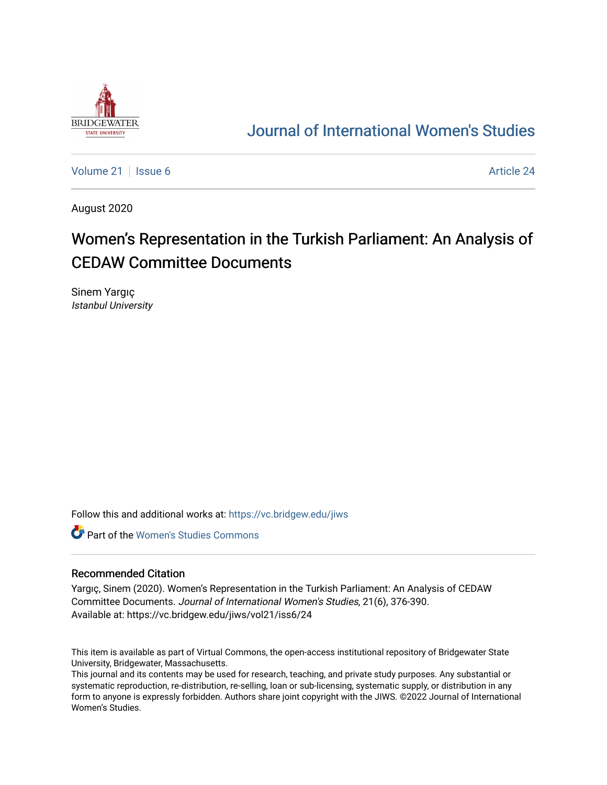

## [Journal of International Women's Studies](https://vc.bridgew.edu/jiws)

[Volume 21](https://vc.bridgew.edu/jiws/vol21) | [Issue 6](https://vc.bridgew.edu/jiws/vol21/iss6) [Article 24](https://vc.bridgew.edu/jiws/vol21/iss6/24) | Issue 6 Article 24 | Issue 6 Article 24 | Issue 6 Article 24 | Issue 6 | Issue 6 | Issue 6 | Issue 6 | Issue 6 | Issue 6 | Issue 6 | Issue 6 | Issue 6 | Issue 6 | Issue 6 | Issue 6 | Issue

August 2020

# Women's Representation in the Turkish Parliament: An Analysis of CEDAW Committee Documents

Sinem Yargıç Istanbul University

Follow this and additional works at: [https://vc.bridgew.edu/jiws](https://vc.bridgew.edu/jiws?utm_source=vc.bridgew.edu%2Fjiws%2Fvol21%2Fiss6%2F24&utm_medium=PDF&utm_campaign=PDFCoverPages)

**C** Part of the Women's Studies Commons

#### Recommended Citation

Yargıç, Sinem (2020). Women's Representation in the Turkish Parliament: An Analysis of CEDAW Committee Documents. Journal of International Women's Studies, 21(6), 376-390. Available at: https://vc.bridgew.edu/jiws/vol21/iss6/24

This item is available as part of Virtual Commons, the open-access institutional repository of Bridgewater State University, Bridgewater, Massachusetts.

This journal and its contents may be used for research, teaching, and private study purposes. Any substantial or systematic reproduction, re-distribution, re-selling, loan or sub-licensing, systematic supply, or distribution in any form to anyone is expressly forbidden. Authors share joint copyright with the JIWS. ©2022 Journal of International Women's Studies.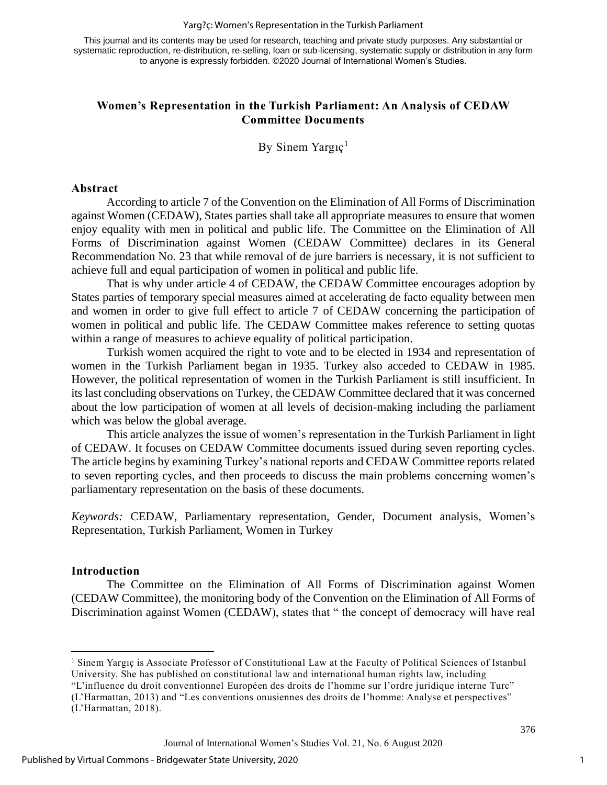This journal and its contents may be used for research, teaching and private study purposes. Any substantial or systematic reproduction, re-distribution, re-selling, loan or sub-licensing, systematic supply or distribution in any form to anyone is expressly forbidden. ©2020 Journal of International Women's Studies.

### **Women's Representation in the Turkish Parliament: An Analysis of CEDAW Committee Documents**

By Sinem Yargıç $<sup>1</sup>$ </sup>

#### **Abstract**

According to article 7 of the Convention on the Elimination of All Forms of Discrimination against Women (CEDAW), States parties shall take all appropriate measures to ensure that women enjoy equality with men in political and public life. The Committee on the Elimination of All Forms of Discrimination against Women (CEDAW Committee) declares in its General Recommendation No. 23 that while removal of de jure barriers is necessary, it is not sufficient to achieve full and equal participation of women in political and public life.

That is why under article 4 of CEDAW, the CEDAW Committee encourages adoption by States parties of temporary special measures aimed at accelerating de facto equality between men and women in order to give full effect to article 7 of CEDAW concerning the participation of women in political and public life. The CEDAW Committee makes reference to setting quotas within a range of measures to achieve equality of political participation.

Turkish women acquired the right to vote and to be elected in 1934 and representation of women in the Turkish Parliament began in 1935. Turkey also acceded to CEDAW in 1985. However, the political representation of women in the Turkish Parliament is still insufficient. In its last concluding observations on Turkey, the CEDAW Committee declared that it was concerned about the low participation of women at all levels of decision-making including the parliament which was below the global average.

This article analyzes the issue of women's representation in the Turkish Parliament in light of CEDAW. It focuses on CEDAW Committee documents issued during seven reporting cycles. The article begins by examining Turkey's national reports and CEDAW Committee reports related to seven reporting cycles, and then proceeds to discuss the main problems concerning women's parliamentary representation on the basis of these documents.

*Keywords:* CEDAW, Parliamentary representation, Gender, Document analysis, Women's Representation, Turkish Parliament, Women in Turkey

#### **Introduction**

The Committee on the Elimination of All Forms of Discrimination against Women (CEDAW Committee), the monitoring body of the Convention on the Elimination of All Forms of Discrimination against Women (CEDAW), states that " the concept of democracy will have real

(L'Harmattan, 2013) and "Les conventions onusiennes des droits de l'homme: Analyse et perspectives" (L'Harmattan, 2018).

<sup>1</sup> Sinem Yargıç is Associate Professor of Constitutional Law at the Faculty of Political Sciences of Istanbul University. She has published on constitutional law and international human rights law, including "L'influence du droit conventionnel Européen des droits de l'homme sur l'ordre juridique interne Turc"

Journal of International Women's Studies Vol. 21, No. 6 August 2020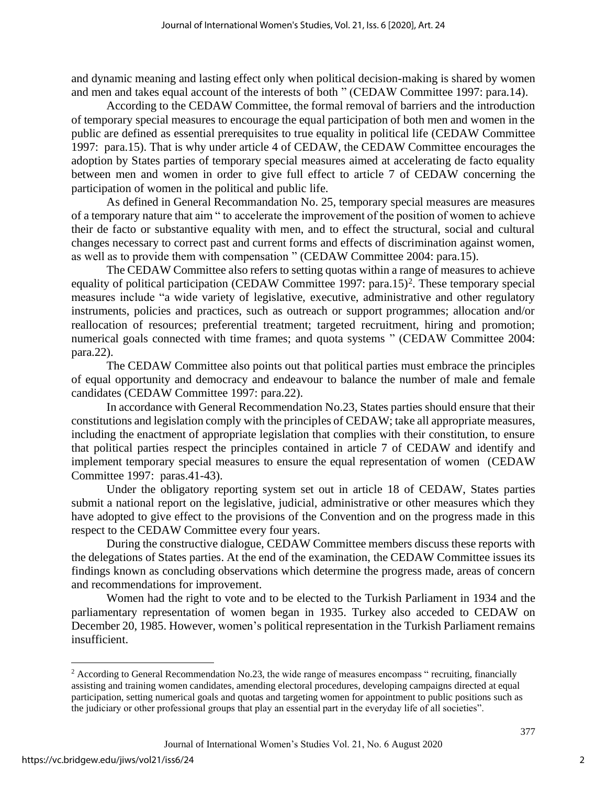and dynamic meaning and lasting effect only when political decision-making is shared by women and men and takes equal account of the interests of both " (CEDAW Committee 1997: para.14).

According to the CEDAW Committee, the formal removal of barriers and the introduction of temporary special measures to encourage the equal participation of both men and women in the public are defined as essential prerequisites to true equality in political life (CEDAW Committee 1997: para.15). That is why under article 4 of CEDAW, the CEDAW Committee encourages the adoption by States parties of temporary special measures aimed at accelerating de facto equality between men and women in order to give full effect to article 7 of CEDAW concerning the participation of women in the political and public life.

As defined in General Recommandation No. 25, temporary special measures are measures of a temporary nature that aim " to accelerate the improvement of the position of women to achieve their de facto or substantive equality with men, and to effect the structural, social and cultural changes necessary to correct past and current forms and effects of discrimination against women, as well as to provide them with compensation " (CEDAW Committee 2004: para.15).

The CEDAW Committee also refers to setting quotas within a range of measures to achieve equality of political participation (CEDAW Committee 1997: para.15)<sup>2</sup>. These temporary special measures include "a wide variety of legislative, executive, administrative and other regulatory instruments, policies and practices, such as outreach or support programmes; allocation and/or reallocation of resources; preferential treatment; targeted recruitment, hiring and promotion; numerical goals connected with time frames; and quota systems " (CEDAW Committee 2004: para.22).

The CEDAW Committee also points out that political parties must embrace the principles of equal opportunity and democracy and endeavour to balance the number of male and female candidates (CEDAW Committee 1997: para.22).

In accordance with General Recommendation No.23, States parties should ensure that their constitutions and legislation comply with the principles of CEDAW; take all appropriate measures, including the enactment of appropriate legislation that complies with their constitution, to ensure that political parties respect the principles contained in article 7 of CEDAW and identify and implement temporary special measures to ensure the equal representation of women (CEDAW Committee 1997: paras.41-43).

Under the obligatory reporting system set out in article 18 of CEDAW, States parties submit a national report on the legislative, judicial, administrative or other measures which they have adopted to give effect to the provisions of the Convention and on the progress made in this respect to the CEDAW Committee every four years.

During the constructive dialogue, CEDAW Committee members discuss these reports with the delegations of States parties. At the end of the examination, the CEDAW Committee issues its findings known as concluding observations which determine the progress made, areas of concern and recommendations for improvement.

Women had the right to vote and to be elected to the Turkish Parliament in 1934 and the parliamentary representation of women began in 1935. Turkey also acceded to CEDAW on December 20, 1985. However, women's political representation in the Turkish Parliament remains insufficient.

<sup>&</sup>lt;sup>2</sup> According to General Recommendation No.23, the wide range of measures encompass " recruiting, financially assisting and training women candidates, amending electoral procedures, developing campaigns directed at equal participation, setting numerical goals and quotas and targeting women for appointment to public positions such as the judiciary or other professional groups that play an essential part in the everyday life of all societies".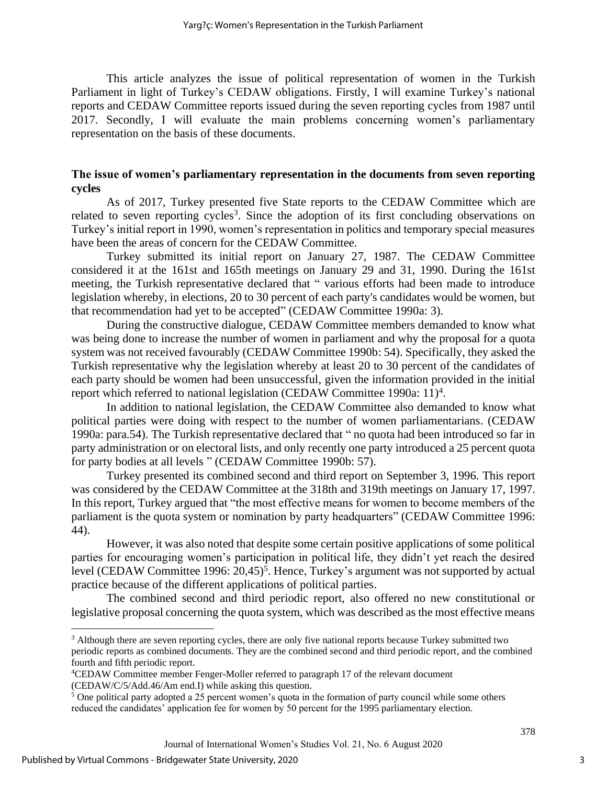This article analyzes the issue of political representation of women in the Turkish Parliament in light of Turkey's CEDAW obligations. Firstly, I will examine Turkey's national reports and CEDAW Committee reports issued during the seven reporting cycles from 1987 until 2017. Secondly, I will evaluate the main problems concerning women's parliamentary representation on the basis of these documents.

### **The issue of women's parliamentary representation in the documents from seven reporting cycles**

As of 2017, Turkey presented five State reports to the CEDAW Committee which are related to seven reporting cycles<sup>3</sup>. Since the adoption of its first concluding observations on Turkey's initial report in 1990, women's representation in politics and temporary special measures have been the areas of concern for the CEDAW Committee.

Turkey submitted its initial report on January 27, 1987. The CEDAW Committee considered it at the 161st and 165th meetings on January 29 and 31, 1990. During the 161st meeting, the Turkish representative declared that " various efforts had been made to introduce legislation whereby, in elections, 20 to 30 percent of each party's candidates would be women, but that recommendation had yet to be accepted" (CEDAW Committee 1990a: 3).

During the constructive dialogue, CEDAW Committee members demanded to know what was being done to increase the number of women in parliament and why the proposal for a quota system was not received favourably (CEDAW Committee 1990b: 54). Specifically, they asked the Turkish representative why the legislation whereby at least 20 to 30 percent of the candidates of each party should be women had been unsuccessful, given the information provided in the initial report which referred to national legislation (CEDAW Committee 1990a: 11)<sup>4</sup>.

In addition to national legislation, the CEDAW Committee also demanded to know what political parties were doing with respect to the number of women parliamentarians. (CEDAW 1990a: para.54). The Turkish representative declared that " no quota had been introduced so far in party administration or on electoral lists, and only recently one party introduced a 25 percent quota for party bodies at all levels " (CEDAW Committee 1990b: 57).

Turkey presented its combined second and third report on September 3, 1996. This report was considered by the CEDAW Committee at the 318th and 319th meetings on January 17, 1997. In this report, Turkey argued that "the most effective means for women to become members of the parliament is the quota system or nomination by party headquarters" (CEDAW Committee 1996: 44).

However, it was also noted that despite some certain positive applications of some political parties for encouraging women's participation in political life, they didn't yet reach the desired level (CEDAW Committee 1996: 20,45)<sup>5</sup>. Hence, Turkey's argument was not supported by actual practice because of the different applications of political parties.

The combined second and third periodic report, also offered no new constitutional or legislative proposal concerning the quota system, which was described as the most effective means

(CEDAW/C/5/Add.46/Am end.I) while asking this question.

3

<sup>&</sup>lt;sup>3</sup> Although there are seven reporting cycles, there are only five national reports because Turkey submitted two periodic reports as combined documents. They are the combined second and third periodic report, and the combined fourth and fifth periodic report.

<sup>4</sup>CEDAW Committee member Fenger-Moller referred to paragraph 17 of the relevant document

<sup>5</sup> One political party adopted a 25 percent women's quota in the formation of party council while some others reduced the candidates' application fee for women by 50 percent for the 1995 parliamentary election.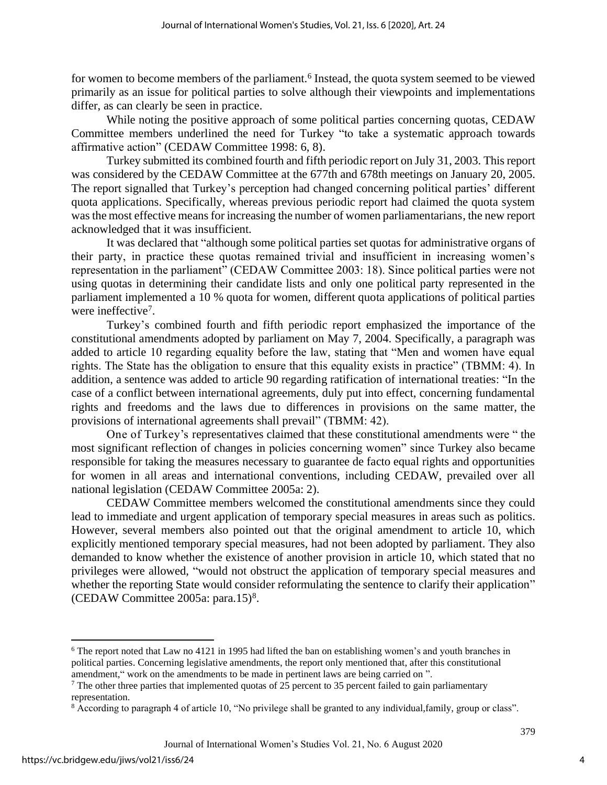for women to become members of the parliament.<sup>6</sup> Instead, the quota system seemed to be viewed primarily as an issue for political parties to solve although their viewpoints and implementations differ, as can clearly be seen in practice.

While noting the positive approach of some political parties concerning quotas, CEDAW Committee members underlined the need for Turkey "to take a systematic approach towards affirmative action" (CEDAW Committee 1998: 6, 8).

Turkey submitted its combined fourth and fifth periodic report on July 31, 2003. This report was considered by the CEDAW Committee at the 677th and 678th meetings on January 20, 2005. The report signalled that Turkey's perception had changed concerning political parties' different quota applications. Specifically, whereas previous periodic report had claimed the quota system was the most effective means for increasing the number of women parliamentarians, the new report acknowledged that it was insufficient.

It was declared that "although some political parties set quotas for administrative organs of their party, in practice these quotas remained trivial and insufficient in increasing women's representation in the parliament" (CEDAW Committee 2003: 18). Since political parties were not using quotas in determining their candidate lists and only one political party represented in the parliament implemented a 10 % quota for women, different quota applications of political parties were ineffective<sup>7</sup>.

Turkey's combined fourth and fifth periodic report emphasized the importance of the constitutional amendments adopted by parliament on May 7, 2004. Specifically, a paragraph was added to article 10 regarding equality before the law, stating that "Men and women have equal rights. The State has the obligation to ensure that this equality exists in practice" (TBMM: 4). In addition, a sentence was added to article 90 regarding ratification of international treaties: "In the case of a conflict between international agreements, duly put into effect, concerning fundamental rights and freedoms and the laws due to differences in provisions on the same matter, the provisions of international agreements shall prevail" (TBMM: 42).

One of Turkey's representatives claimed that these constitutional amendments were " the most significant reflection of changes in policies concerning women" since Turkey also became responsible for taking the measures necessary to guarantee de facto equal rights and opportunities for women in all areas and international conventions, including CEDAW, prevailed over all national legislation (CEDAW Committee 2005a: 2).

CEDAW Committee members welcomed the constitutional amendments since they could lead to immediate and urgent application of temporary special measures in areas such as politics. However, several members also pointed out that the original amendment to article 10, which explicitly mentioned temporary special measures, had not been adopted by parliament. They also demanded to know whether the existence of another provision in article 10, which stated that no privileges were allowed, "would not obstruct the application of temporary special measures and whether the reporting State would consider reformulating the sentence to clarify their application"  $(CEDAW Committee 2005a: para.15)<sup>8</sup>$ .

<sup>6</sup> The report noted that Law no 4121 in 1995 had lifted the ban on establishing women's and youth branches in political parties. Concerning legislative amendments, the report only mentioned that, after this constitutional amendment," work on the amendments to be made in pertinent laws are being carried on ".

 $7$  The other three parties that implemented quotas of 25 percent to 35 percent failed to gain parliamentary representation.

<sup>8</sup> According to paragraph 4 of article 10, "No privilege shall be granted to any individual,family, group or class".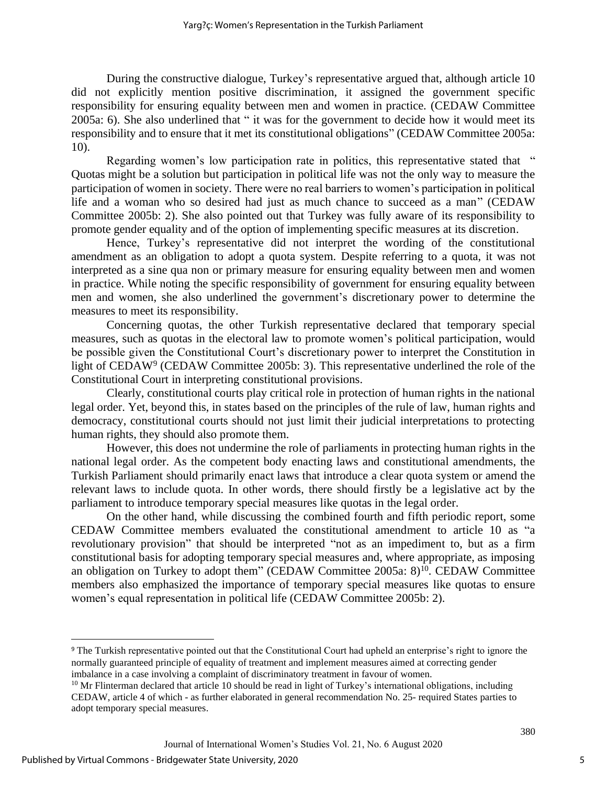During the constructive dialogue, Turkey's representative argued that, although article 10 did not explicitly mention positive discrimination, it assigned the government specific responsibility for ensuring equality between men and women in practice. (CEDAW Committee 2005a: 6). She also underlined that " it was for the government to decide how it would meet its responsibility and to ensure that it met its constitutional obligations" (CEDAW Committee 2005a: 10).

Regarding women's low participation rate in politics, this representative stated that " Quotas might be a solution but participation in political life was not the only way to measure the participation of women in society. There were no real barriers to women's participation in political life and a woman who so desired had just as much chance to succeed as a man" (CEDAW Committee 2005b: 2). She also pointed out that Turkey was fully aware of its responsibility to promote gender equality and of the option of implementing specific measures at its discretion.

Hence, Turkey's representative did not interpret the wording of the constitutional amendment as an obligation to adopt a quota system. Despite referring to a quota, it was not interpreted as a sine qua non or primary measure for ensuring equality between men and women in practice. While noting the specific responsibility of government for ensuring equality between men and women, she also underlined the government's discretionary power to determine the measures to meet its responsibility.

Concerning quotas, the other Turkish representative declared that temporary special measures, such as quotas in the electoral law to promote women's political participation, would be possible given the Constitutional Court's discretionary power to interpret the Constitution in light of CEDAW<sup>9</sup> (CEDAW Committee 2005b: 3). This representative underlined the role of the Constitutional Court in interpreting constitutional provisions.

Clearly, constitutional courts play critical role in protection of human rights in the national legal order. Yet, beyond this, in states based on the principles of the rule of law, human rights and democracy, constitutional courts should not just limit their judicial interpretations to protecting human rights, they should also promote them.

However, this does not undermine the role of parliaments in protecting human rights in the national legal order. As the competent body enacting laws and constitutional amendments, the Turkish Parliament should primarily enact laws that introduce a clear quota system or amend the relevant laws to include quota. In other words, there should firstly be a legislative act by the parliament to introduce temporary special measures like quotas in the legal order.

On the other hand, while discussing the combined fourth and fifth periodic report, some CEDAW Committee members evaluated the constitutional amendment to article 10 as "a revolutionary provision" that should be interpreted "not as an impediment to, but as a firm constitutional basis for adopting temporary special measures and, where appropriate, as imposing an obligation on Turkey to adopt them" (CEDAW Committee 2005a: 8)<sup>10</sup>. CEDAW Committee members also emphasized the importance of temporary special measures like quotas to ensure women's equal representation in political life (CEDAW Committee 2005b: 2).

<sup>9</sup> The Turkish representative pointed out that the Constitutional Court had upheld an enterprise's right to ignore the normally guaranteed principle of equality of treatment and implement measures aimed at correcting gender imbalance in a case involving a complaint of discriminatory treatment in favour of women.

 $10$  Mr Flinterman declared that article 10 should be read in light of Turkey's international obligations, including CEDAW, article 4 of which - as further elaborated in general recommendation No. 25- required States parties to adopt temporary special measures.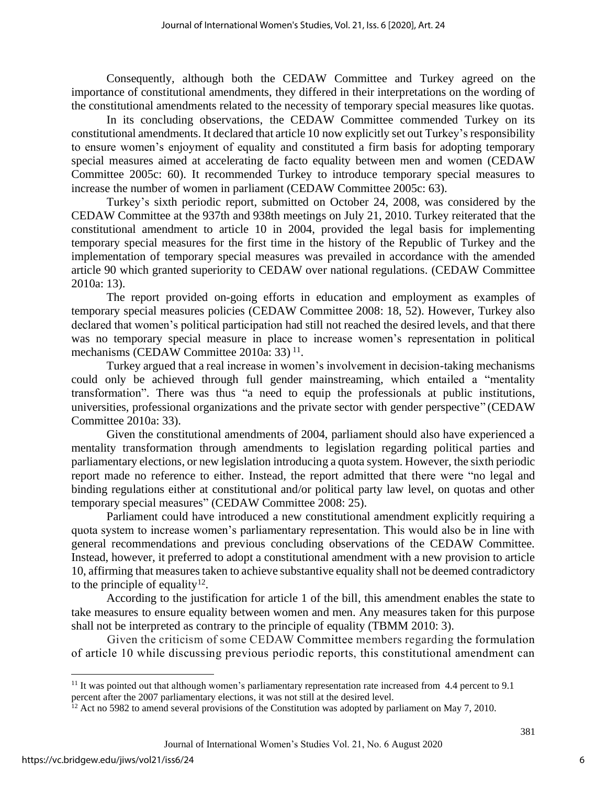Consequently, although both the CEDAW Committee and Turkey agreed on the importance of constitutional amendments, they differed in their interpretations on the wording of the constitutional amendments related to the necessity of temporary special measures like quotas.

In its concluding observations, the CEDAW Committee commended Turkey on its constitutional amendments. It declared that article 10 now explicitly set out Turkey's responsibility to ensure women's enjoyment of equality and constituted a firm basis for adopting temporary special measures aimed at accelerating de facto equality between men and women (CEDAW Committee 2005c: 60). It recommended Turkey to introduce temporary special measures to increase the number of women in parliament (CEDAW Committee 2005c: 63).

Turkey's sixth periodic report, submitted on October 24, 2008, was considered by the CEDAW Committee at the 937th and 938th meetings on July 21, 2010. Turkey reiterated that the constitutional amendment to article 10 in 2004, provided the legal basis for implementing temporary special measures for the first time in the history of the Republic of Turkey and the implementation of temporary special measures was prevailed in accordance with the amended article 90 which granted superiority to CEDAW over national regulations. (CEDAW Committee 2010a: 13).

The report provided on-going efforts in education and employment as examples of temporary special measures policies (CEDAW Committee 2008: 18, 52). However, Turkey also declared that women's political participation had still not reached the desired levels, and that there was no temporary special measure in place to increase women's representation in political mechanisms (CEDAW Committee 2010a: 33)<sup>11</sup>.

Turkey argued that a real increase in women's involvement in decision-taking mechanisms could only be achieved through full gender mainstreaming, which entailed a "mentality transformation". There was thus "a need to equip the professionals at public institutions, universities, professional organizations and the private sector with gender perspective" (CEDAW Committee 2010a: 33).

Given the constitutional amendments of 2004, parliament should also have experienced a mentality transformation through amendments to legislation regarding political parties and parliamentary elections, or new legislation introducing a quota system. However, the sixth periodic report made no reference to either. Instead, the report admitted that there were "no legal and binding regulations either at constitutional and/or political party law level, on quotas and other temporary special measures" (CEDAW Committee 2008: 25).

Parliament could have introduced a new constitutional amendment explicitly requiring a quota system to increase women's parliamentary representation. This would also be in line with general recommendations and previous concluding observations of the CEDAW Committee. Instead, however, it preferred to adopt a constitutional amendment with a new provision to article 10, affirming that measures taken to achieve substantive equality shall not be deemed contradictory to the principle of equality<sup>12</sup>.

According to the justification for article 1 of the bill, this amendment enables the state to take measures to ensure equality between women and men. Any measures taken for this purpose shall not be interpreted as contrary to the principle of equality (TBMM 2010: 3).

Given the criticism of some CEDAW Committee members regarding the formulation of article 10 while discussing previous periodic reports, this constitutional amendment can

<sup>&</sup>lt;sup>11</sup> It was pointed out that although women's parliamentary representation rate increased from 4.4 percent to 9.1 percent after the 2007 parliamentary elections, it was not still at the desired level.

<sup>&</sup>lt;sup>12</sup> Act no 5982 to amend several provisions of the Constitution was adopted by parliament on May 7, 2010.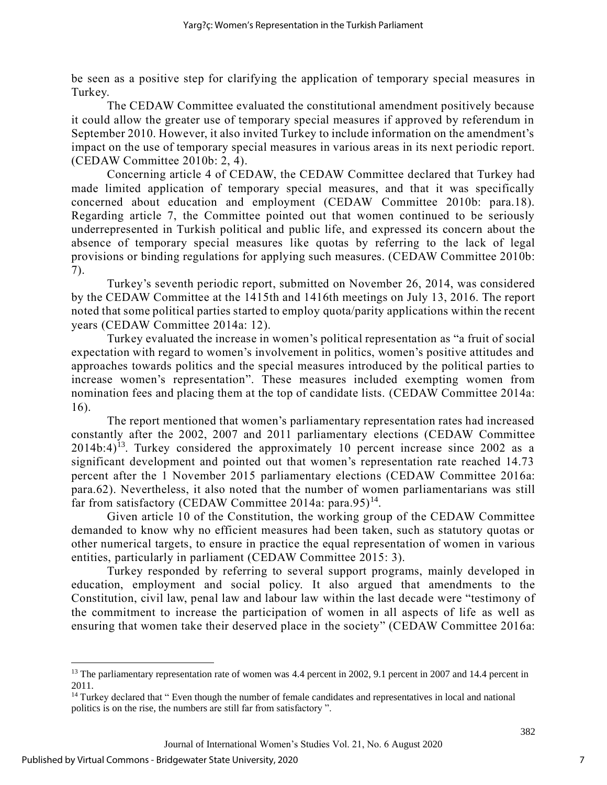be seen as a positive step for clarifying the application of temporary special measures in Turkey.

The CEDAW Committee evaluated the constitutional amendment positively because it could allow the greater use of temporary special measures if approved by referendum in September 2010. However, it also invited Turkey to include information on the amendment's impact on the use of temporary special measures in various areas in its next periodic report. (CEDAW Committee 2010b: 2, 4).

Concerning article 4 of CEDAW, the CEDAW Committee declared that Turkey had made limited application of temporary special measures, and that it was specifically concerned about education and employment (CEDAW Committee 2010b: para.18). Regarding article 7, the Committee pointed out that women continued to be seriously underrepresented in Turkish political and public life, and expressed its concern about the absence of temporary special measures like quotas by referring to the lack of legal provisions or binding regulations for applying such measures. (CEDAW Committee 2010b: 7).

Turkey's seventh periodic report, submitted on November 26, 2014, was considered by the CEDAW Committee at the 1415th and 1416th meetings on July 13, 2016. The report noted that some political parties started to employ quota/parity applications within the recent years (CEDAW Committee 2014a: 12).

Turkey evaluated the increase in women's political representation as "a fruit of social expectation with regard to women's involvement in politics, women's positive attitudes and approaches towards politics and the special measures introduced by the political parties to increase women's representation". These measures included exempting women from nomination fees and placing them at the top of candidate lists. (CEDAW Committee 2014a: 16).

The report mentioned that women's parliamentary representation rates had increased constantly after the 2002, 2007 and 2011 parliamentary elections (CEDAW Committee  $2014b:4$ <sup>13</sup>. Turkey considered the approximately 10 percent increase since 2002 as a significant development and pointed out that women's representation rate reached 14.73 percent after the 1 November 2015 parliamentary elections (CEDAW Committee 2016a: para.62). Nevertheless, it also noted that the number of women parliamentarians was still far from satisfactory (CEDAW Committee 2014a: para.95)<sup>14</sup>.

Given article 10 of the Constitution, the working group of the CEDAW Committee demanded to know why no efficient measures had been taken, such as statutory quotas or other numerical targets, to ensure in practice the equal representation of women in various entities, particularly in parliament (CEDAW Committee 2015: 3).

Turkey responded by referring to several support programs, mainly developed in education, employment and social policy. It also argued that amendments to the Constitution, civil law, penal law and labour law within the last decade were "testimony of the commitment to increase the participation of women in all aspects of life as well as ensuring that women take their deserved place in the society" (CEDAW Committee 2016a:

<sup>&</sup>lt;sup>13</sup> The parliamentary representation rate of women was 4.4 percent in 2002, 9.1 percent in 2007 and 14.4 percent in 2011.

<sup>&</sup>lt;sup>14</sup> Turkey declared that " Even though the number of female candidates and representatives in local and national politics is on the rise, the numbers are still far from satisfactory ".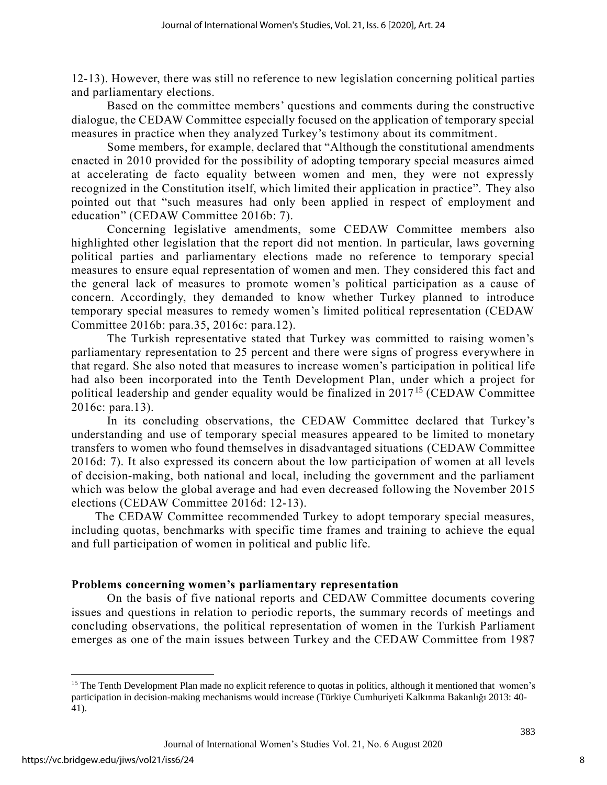12-13). However, there was still no reference to new legislation concerning political parties and parliamentary elections.

Based on the committee members' questions and comments during the constructive dialogue, the CEDAW Committee especially focused on the application of temporary special measures in practice when they analyzed Turkey's testimony about its commitment.

Some members, for example, declared that "Although the constitutional amendments enacted in 2010 provided for the possibility of adopting temporary special measures aimed at accelerating de facto equality between women and men, they were not expressly recognized in the Constitution itself, which limited their application in practice". They also pointed out that "such measures had only been applied in respect of employment and education" (CEDAW Committee 2016b: 7).

Concerning legislative amendments, some CEDAW Committee members also highlighted other legislation that the report did not mention. In particular, laws governing political parties and parliamentary elections made no reference to temporary special measures to ensure equal representation of women and men. They considered this fact and the general lack of measures to promote women's political participation as a cause of concern. Accordingly, they demanded to know whether Turkey planned to introduce temporary special measures to remedy women's limited political representation (CEDAW Committee 2016b: para.35, 2016c: para.12).

The Turkish representative stated that Turkey was committed to raising women's parliamentary representation to 25 percent and there were signs of progress everywhere in that regard. She also noted that measures to increase women's participation in political life had also been incorporated into the Tenth Development Plan, under which a project for political leadership and gender equality would be finalized in 2017<sup>15</sup> (CEDAW Committee 2016c: para.13).

In its concluding observations, the CEDAW Committee declared that Turkey's understanding and use of temporary special measures appeared to be limited to monetary transfers to women who found themselves in disadvantaged situations (CEDAW Committee 2016d: 7). It also expressed its concern about the low participation of women at all levels of decision-making, both national and local, including the government and the parliament which was below the global average and had even decreased following the November 2015 elections (CEDAW Committee 2016d: 12-13).

The CEDAW Committee recommended Turkey to adopt temporary special measures, including quotas, benchmarks with specific time frames and training to achieve the equal and full participation of women in political and public life.

#### **Problems concerning women's parliamentary representation**

On the basis of five national reports and CEDAW Committee documents covering issues and questions in relation to periodic reports, the summary records of meetings and concluding observations, the political representation of women in the Turkish Parliament emerges as one of the main issues between Turkey and the CEDAW Committee from 1987

<sup>&</sup>lt;sup>15</sup> The Tenth Development Plan made no explicit reference to quotas in politics, although it mentioned that women's participation in decision-making mechanisms would increase (Türkiye Cumhuriyeti Kalkınma Bakanlığı 2013: 40- 41).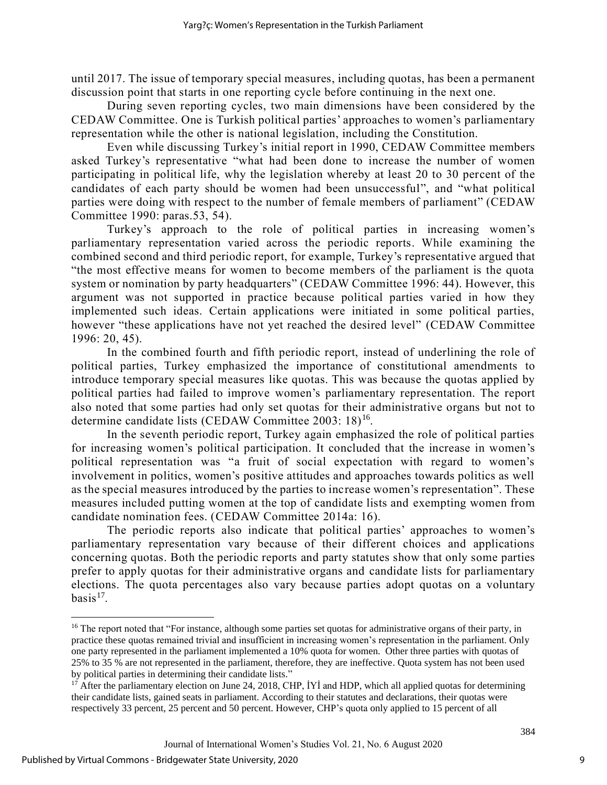until 2017. The issue of temporary special measures, including quotas, has been a permanent discussion point that starts in one reporting cycle before continuing in the next one.

During seven reporting cycles, two main dimensions have been considered by the CEDAW Committee. One is Turkish political parties' approaches to women's parliamentary representation while the other is national legislation, including the Constitution.

Even while discussing Turkey's initial report in 1990, CEDAW Committee members asked Turkey's representative "what had been done to increase the number of women participating in political life, why the legislation whereby at least 20 to 30 percent of the candidates of each party should be women had been unsuccessful", and "what political parties were doing with respect to the number of female members of parliament" (CEDAW Committee 1990: paras.53, 54).

Turkey's approach to the role of political parties in increasing women's parliamentary representation varied across the periodic reports. While examining the combined second and third periodic report, for example, Turkey's representative argued that "the most effective means for women to become members of the parliament is the quota system or nomination by party headquarters" (CEDAW Committee 1996: 44). However, this argument was not supported in practice because political parties varied in how they implemented such ideas. Certain applications were initiated in some political parties, however "these applications have not yet reached the desired level" (CEDAW Committee 1996: 20, 45).

In the combined fourth and fifth periodic report, instead of underlining the role of political parties, Turkey emphasized the importance of constitutional amendments to introduce temporary special measures like quotas. This was because the quotas applied by political parties had failed to improve women's parliamentary representation. The report also noted that some parties had only set quotas for their administrative organs but not to determine candidate lists (CEDAW Committee 2003: 18)<sup>16</sup>.

In the seventh periodic report, Turkey again emphasized the role of political parties for increasing women's political participation. It concluded that the increase in women's political representation was "a fruit of social expectation with regard to women's involvement in politics, women's positive attitudes and approaches towards politics as well as the special measures introduced by the parties to increase women's representation". These measures included putting women at the top of candidate lists and exempting women from candidate nomination fees. (CEDAW Committee 2014a: 16).

The periodic reports also indicate that political parties' approaches to women's parliamentary representation vary because of their different choices and applications concerning quotas. Both the periodic reports and party statutes show that only some parties prefer to apply quotas for their administrative organs and candidate lists for parliamentary elections. The quota percentages also vary because parties adopt quotas on a voluntary  $basis<sup>17</sup>$ .

9

<sup>&</sup>lt;sup>16</sup> The report noted that "For instance, although some parties set quotas for administrative organs of their party, in practice these quotas remained trivial and insufficient in increasing women's representation in the parliament. Only one party represented in the parliament implemented a 10% quota for women. Other three parties with quotas of 25% to 35 % are not represented in the parliament, therefore, they are ineffective. Quota system has not been used by political parties in determining their candidate lists."

 $17$  After the parliamentary election on June 24, 2018, CHP, IYI and HDP, which all applied quotas for determining their candidate lists, gained seats in parliament. According to their statutes and declarations, their quotas were respectively 33 percent, 25 percent and 50 percent. However, CHP's quota only applied to 15 percent of all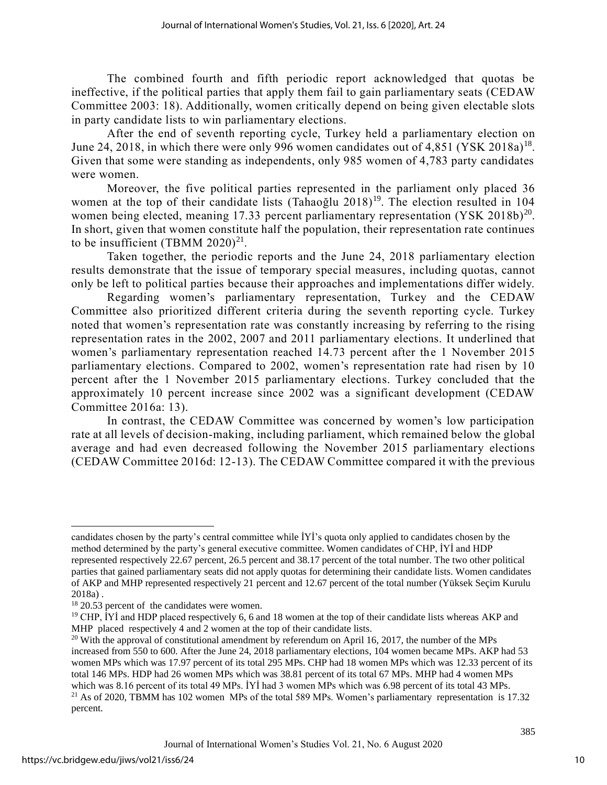The combined fourth and fifth periodic report acknowledged that quotas be ineffective, if the political parties that apply them fail to gain parliamentary seats (CEDAW Committee 2003: 18). Additionally, women critically depend on being given electable slots in party candidate lists to win parliamentary elections.

After the end of seventh reporting cycle, Turkey held a parliamentary election on June 24, 2018, in which there were only 996 women candidates out of 4,851 (YSK 2018a)<sup>18</sup>. Given that some were standing as independents, only 985 women of 4,783 party candidates were women.

Moreover, the five political parties represented in the parliament only placed 36 women at the top of their candidate lists (Tahaoğlu 2018)<sup>19</sup>. The election resulted in 104 women being elected, meaning 17.33 percent parliamentary representation  $(YSK 2018b)^{20}$ . In short, given that women constitute half the population, their representation rate continues to be insufficient (TBMM 2020)<sup>21</sup>.

Taken together, the periodic reports and the June 24, 2018 parliamentary election results demonstrate that the issue of temporary special measures, including quotas, cannot only be left to political parties because their approaches and implementations differ widely.

Regarding women's parliamentary representation, Turkey and the CEDAW Committee also prioritized different criteria during the seventh reporting cycle. Turkey noted that women's representation rate was constantly increasing by referring to the rising representation rates in the 2002, 2007 and 2011 parliamentary elections. It underlined that women's parliamentary representation reached 14.73 percent after the 1 November 2015 parliamentary elections. Compared to 2002, women's representation rate had risen by 10 percent after the 1 November 2015 parliamentary elections. Turkey concluded that the approximately 10 percent increase since 2002 was a significant development (CEDAW Committee 2016a: 13).

In contrast, the CEDAW Committee was concerned by women's low participation rate at all levels of decision-making, including parliament, which remained below the global average and had even decreased following the November 2015 parliamentary elections (CEDAW Committee 2016d: 12-13). The CEDAW Committee compared it with the previous

candidates chosen by the party's central committee while İYİ's quota only applied to candidates chosen by the method determined by the party's general executive committee. Women candidates of CHP, İYİ and HDP represented respectively 22.67 percent, 26.5 percent and 38.17 percent of the total number. The two other political parties that gained parliamentary seats did not apply quotas for determining their candidate lists. Women candidates of AKP and MHP represented respectively 21 percent and 12.67 percent of the total number (Yüksek Seçim Kurulu 2018a) .

<sup>&</sup>lt;sup>18</sup> 20.53 percent of the candidates were women.

<sup>&</sup>lt;sup>19</sup> CHP, IYI and HDP placed respectively 6, 6 and 18 women at the top of their candidate lists whereas AKP and MHP placed respectively 4 and 2 women at the top of their candidate lists.

<sup>&</sup>lt;sup>20</sup> With the approval of constitutional amendment by referendum on April 16, 2017, the number of the MPs increased from 550 to 600. After the June 24, 2018 parliamentary elections, 104 women became MPs. AKP had 53 women MPs which was 17.97 percent of its total 295 MPs. CHP had 18 women MPs which was 12.33 percent of its total 146 MPs. HDP had 26 women MPs which was 38.81 percent of its total 67 MPs. MHP had 4 women MPs which was 8.16 percent of its total 49 MPs. İYİ had 3 women MPs which was 6.98 percent of its total 43 MPs.

 $21$  As of 2020, TBMM has 102 women MPs of the total 589 MPs. Women's parliamentary representation is 17.32 percent.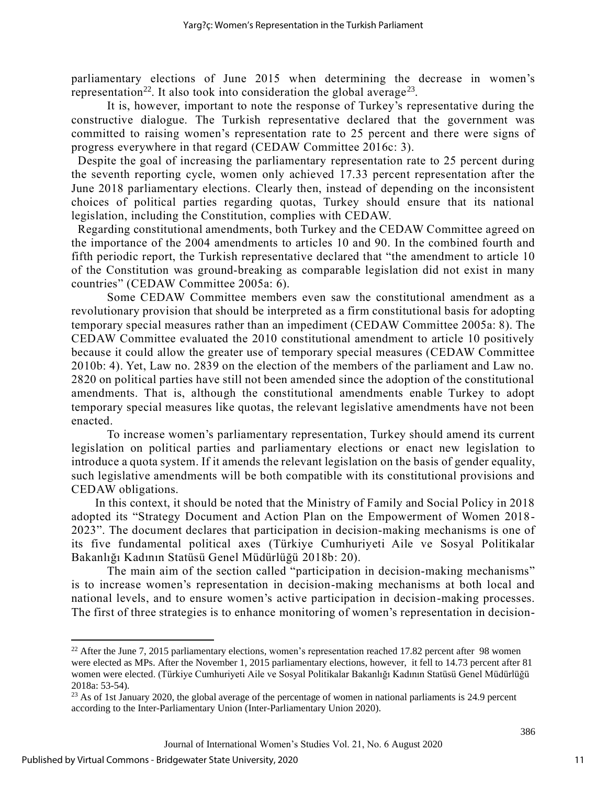parliamentary elections of June 2015 when determining the decrease in women's representation<sup>22</sup>. It also took into consideration the global average<sup>23</sup>.

It is, however, important to note the response of Turkey's representative during the constructive dialogue. The Turkish representative declared that the government was committed to raising women's representation rate to 25 percent and there were signs of progress everywhere in that regard (CEDAW Committee 2016c: 3).

Despite the goal of increasing the parliamentary representation rate to 25 percent during the seventh reporting cycle, women only achieved 17.33 percent representation after the June 2018 parliamentary elections. Clearly then, instead of depending on the inconsistent choices of political parties regarding quotas, Turkey should ensure that its national legislation, including the Constitution, complies with CEDAW.

Regarding constitutional amendments, both Turkey and the CEDAW Committee agreed on the importance of the 2004 amendments to articles 10 and 90. In the combined fourth and fifth periodic report, the Turkish representative declared that "the amendment to article 10 of the Constitution was ground-breaking as comparable legislation did not exist in many countries" (CEDAW Committee 2005a: 6).

Some CEDAW Committee members even saw the constitutional amendment as a revolutionary provision that should be interpreted as a firm constitutional basis for adopting temporary special measures rather than an impediment (CEDAW Committee 2005a: 8). The CEDAW Committee evaluated the 2010 constitutional amendment to article 10 positively because it could allow the greater use of temporary special measures (CEDAW Committee 2010b: 4). Yet, Law no. 2839 on the election of the members of the parliament and Law no. 2820 on political parties have still not been amended since the adoption of the constitutional amendments. That is, although the constitutional amendments enable Turkey to adopt temporary special measures like quotas, the relevant legislative amendments have not been enacted.

To increase women's parliamentary representation, Turkey should amend its current legislation on political parties and parliamentary elections or enact new legislation to introduce a quota system. If it amends the relevant legislation on the basis of gender equality, such legislative amendments will be both compatible with its constitutional provisions and CEDAW obligations.

In this context, it should be noted that the Ministry of Family and Social Policy in 2018 adopted its "Strategy Document and Action Plan on the Empowerment of Women 2018- 2023". The document declares that participation in decision-making mechanisms is one of its five fundamental political axes (Türkiye Cumhuriyeti Aile ve Sosyal Politikalar Bakanlığı Kadının Statüsü Genel Müdürlüğü 2018b: 20).

The main aim of the section called "participation in decision-making mechanisms" is to increase women's representation in decision-making mechanisms at both local and national levels, and to ensure women's active participation in decision-making processes. The first of three strategies is to enhance monitoring of women's representation in decision-

<sup>&</sup>lt;sup>22</sup> After the June 7, 2015 parliamentary elections, women's representation reached 17.82 percent after 98 women were elected as MPs. After the November 1, 2015 parliamentary elections, however, it fell to 14.73 percent after 81 women were elected. (Türkiye Cumhuriyeti Aile ve Sosyal Politikalar Bakanlığı Kadının Statüsü Genel Müdürlüğü 2018a: 53-54).

 $^{23}$  As of 1st January 2020, the global average of the percentage of women in national parliaments is 24.9 percent according to the Inter-Parliamentary Union (Inter-Parliamentary Union 2020).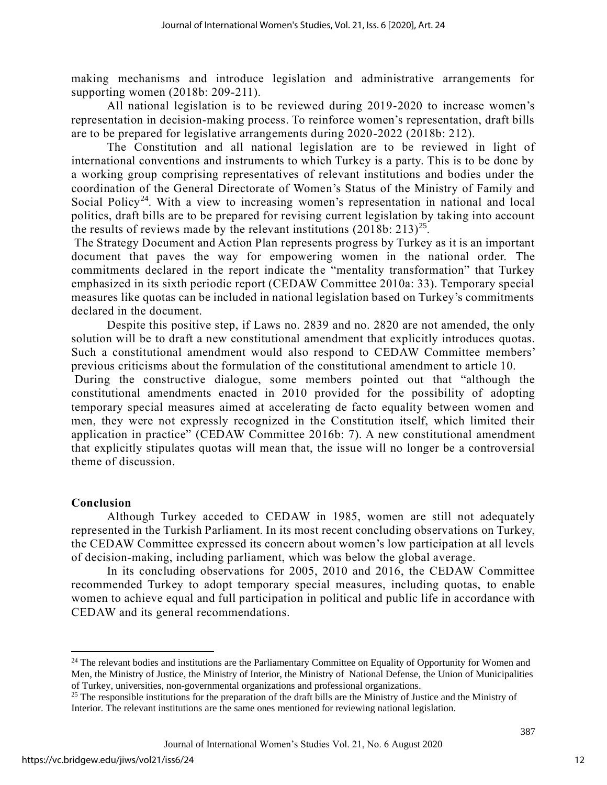making mechanisms and introduce legislation and administrative arrangements for supporting women (2018b: 209-211).

All national legislation is to be reviewed during 2019-2020 to increase women's representation in decision-making process. To reinforce women's representation, draft bills are to be prepared for legislative arrangements during 2020-2022 (2018b: 212).

The Constitution and all national legislation are to be reviewed in light of international conventions and instruments to which Turkey is a party. This is to be done by a working group comprising representatives of relevant institutions and bodies under the coordination of the General Directorate of Women's Status of the Ministry of Family and Social Policy<sup>24</sup>. With a view to increasing women's representation in national and local politics, draft bills are to be prepared for revising current legislation by taking into account the results of reviews made by the relevant institutions  $(2018b: 213)^{25}$ .

The Strategy Document and Action Plan represents progress by Turkey as it is an important document that paves the way for empowering women in the national order. The commitments declared in the report indicate the "mentality transformation" that Turkey emphasized in its sixth periodic report (CEDAW Committee 2010a: 33). Temporary special measures like quotas can be included in national legislation based on Turkey's commitments declared in the document.

Despite this positive step, if Laws no. 2839 and no. 2820 are not amended, the only solution will be to draft a new constitutional amendment that explicitly introduces quotas. Such a constitutional amendment would also respond to CEDAW Committee members' previous criticisms about the formulation of the constitutional amendment to article 10.

During the constructive dialogue, some members pointed out that "although the constitutional amendments enacted in 2010 provided for the possibility of adopting temporary special measures aimed at accelerating de facto equality between women and men, they were not expressly recognized in the Constitution itself, which limited their application in practice" (CEDAW Committee 2016b: 7). A new constitutional amendment that explicitly stipulates quotas will mean that, the issue will no longer be a controversial theme of discussion.

#### **Conclusion**

Although Turkey acceded to CEDAW in 1985, women are still not adequately represented in the Turkish Parliament. In its most recent concluding observations on Turkey, the CEDAW Committee expressed its concern about women's low participation at all levels of decision-making, including parliament, which was below the global average.

In its concluding observations for 2005, 2010 and 2016, the CEDAW Committee recommended Turkey to adopt temporary special measures, including quotas, to enable women to achieve equal and full participation in political and public life in accordance with CEDAW and its general recommendations.

<sup>&</sup>lt;sup>24</sup> The relevant bodies and institutions are the Parliamentary Committee on Equality of Opportunity for Women and Men, the Ministry of Justice, the Ministry of Interior, the Ministry of National Defense, the Union of Municipalities of Turkey, universities, non-governmental organizations and professional organizations.

<sup>&</sup>lt;sup>25</sup> The responsible institutions for the preparation of the draft bills are the Ministry of Justice and the Ministry of Interior. The relevant institutions are the same ones mentioned for reviewing national legislation.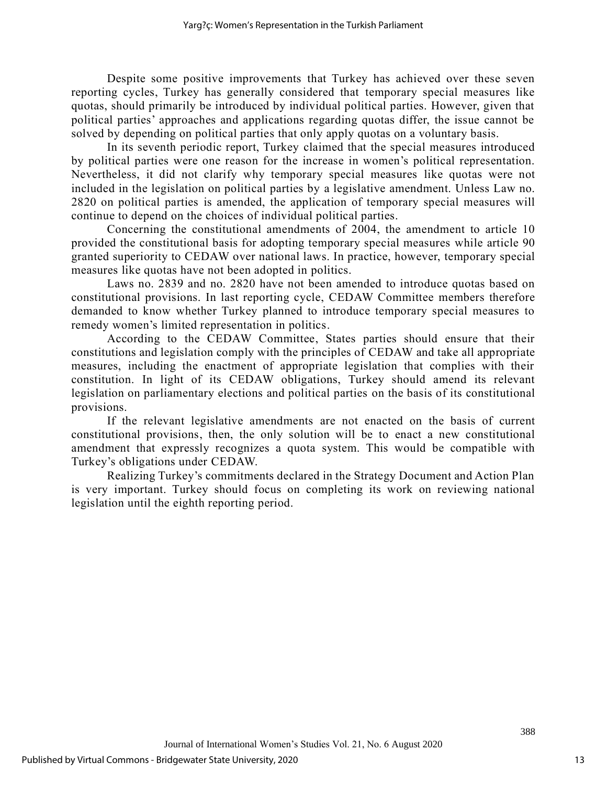Despite some positive improvements that Turkey has achieved over these seven reporting cycles, Turkey has generally considered that temporary special measures like quotas, should primarily be introduced by individual political parties. However, given that political parties' approaches and applications regarding quotas differ, the issue cannot be solved by depending on political parties that only apply quotas on a voluntary basis.

In its seventh periodic report, Turkey claimed that the special measures introduced by political parties were one reason for the increase in women's political representation. Nevertheless, it did not clarify why temporary special measures like quotas were not included in the legislation on political parties by a legislative amendment. Unless Law no. 2820 on political parties is amended, the application of temporary special measures will continue to depend on the choices of individual political parties.

Concerning the constitutional amendments of 2004, the amendment to article 10 provided the constitutional basis for adopting temporary special measures while article 90 granted superiority to CEDAW over national laws. In practice, however, temporary special measures like quotas have not been adopted in politics.

Laws no. 2839 and no. 2820 have not been amended to introduce quotas based on constitutional provisions. In last reporting cycle, CEDAW Committee members therefore demanded to know whether Turkey planned to introduce temporary special measures to remedy women's limited representation in politics.

According to the CEDAW Committee, States parties should ensure that their constitutions and legislation comply with the principles of CEDAW and take all appropriate measures, including the enactment of appropriate legislation that complies with their constitution. In light of its CEDAW obligations, Turkey should amend its relevant legislation on parliamentary elections and political parties on the basis of its constitutional provisions.

If the relevant legislative amendments are not enacted on the basis of current constitutional provisions, then, the only solution will be to enact a new constitutional amendment that expressly recognizes a quota system. This would be compatible with Turkey's obligations under CEDAW.

Realizing Turkey's commitments declared in the Strategy Document and Action Plan is very important. Turkey should focus on completing its work on reviewing national legislation until the eighth reporting period.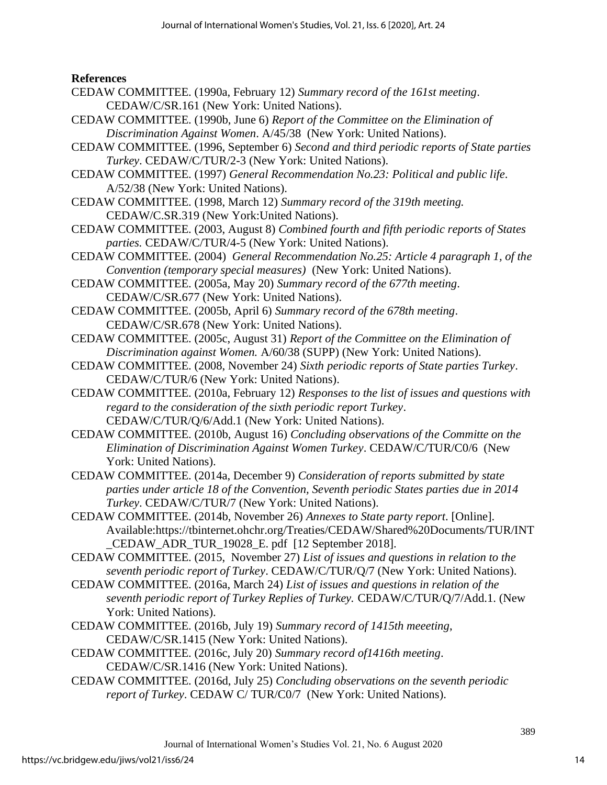#### **References**

- CEDAW COMMITTEE. (1990a, February 12) *Summary record of the 161st meeting*. CEDAW/C/SR.161 (New York: United Nations).
- CEDAW COMMITTEE. (1990b, June 6) *Report of the Committee on the Elimination of Discrimination Against Women*. A/45/38 (New York: United Nations).
- CEDAW COMMITTEE. (1996, September 6) *Second and third periodic reports of State parties Turkey*. CEDAW/C/TUR/2-3 (New York: United Nations).
- CEDAW COMMITTEE. (1997) *General Recommendation No.23: Political and public life*. A/52/38 (New York: United Nations).
- CEDAW COMMITTEE. (1998, March 12) *Summary record of the 319th meeting.* CEDAW/C.SR.319 (New York:United Nations).
- CEDAW COMMITTEE. (2003, August 8) *Combined fourth and fifth periodic reports of States parties.* CEDAW/C/TUR/4-5 (New York: United Nations).
- CEDAW COMMITTEE. (2004) *General Recommendation No.25: Article 4 paragraph 1, of the Convention (temporary special measures)* (New York: United Nations).
- CEDAW COMMITTEE. (2005a, May 20) *Summary record of the 677th meeting*. CEDAW/C/SR.677 (New York: United Nations).
- CEDAW COMMITTEE. (2005b, April 6) *Summary record of the 678th meeting*. CEDAW/C/SR.678 (New York: United Nations).
- CEDAW COMMITTEE. (2005c, August 31) *Report of the Committee on the Elimination of Discrimination against Women.* A/60/38 (SUPP) (New York: United Nations).
- CEDAW COMMITTEE. (2008, November 24) *Sixth periodic reports of State parties Turkey*. CEDAW/C/TUR/6 (New York: United Nations).
- CEDAW COMMITTEE. (2010a, February 12) *Responses to the list of issues and questions with regard to the consideration of the sixth periodic report Turkey*. CEDAW/C/TUR/Q/6/Add.1 (New York: United Nations).
- CEDAW COMMITTEE. (2010b, August 16) *Concluding observations of the Committe on the Elimination of Discrimination Against Women Turkey*. CEDAW/C/TUR/C0/6 (New York: United Nations).
- CEDAW COMMITTEE. (2014a, December 9) *Consideration of reports submitted by state parties under article 18 of the Convention, Seventh periodic States parties due in 2014 Turkey*. CEDAW/C/TUR/7 (New York: United Nations).
- CEDAW COMMITTEE. (2014b, November 26) *Annexes to State party report*. [Online]. Available[:https://tbinternet.ohchr.org/T](https://tbinternet.ohchr.org/)reaties/CEDAW/Shared%20Documents/TUR/INT \_CEDAW\_ADR\_TUR\_19028\_E. pdf [12 September 2018].
- CEDAW COMMITTEE. (2015, November 27) *List of issues and questions in relation to the seventh periodic report of Turkey*. CEDAW/C/TUR/Q/7 (New York: United Nations).
- CEDAW COMMITTEE. (2016a, March 24) *List of issues and questions in relation of the seventh periodic report of Turkey Replies of Turkey.* CEDAW/C/TUR/Q/7/Add.1. (New York: United Nations).
- CEDAW COMMITTEE. (2016b, July 19) *Summary record of 1415th meeeting*, CEDAW/C/SR.1415 (New York: United Nations).
- CEDAW COMMITTEE. (2016c, July 20) *Summary record of1416th meeting*. CEDAW/C/SR.1416 (New York: United Nations).
- CEDAW COMMITTEE. (2016d, July 25) *Concluding observations on the seventh periodic report of Turkey*. CEDAW C/ TUR/C0/7 (New York: United Nations).